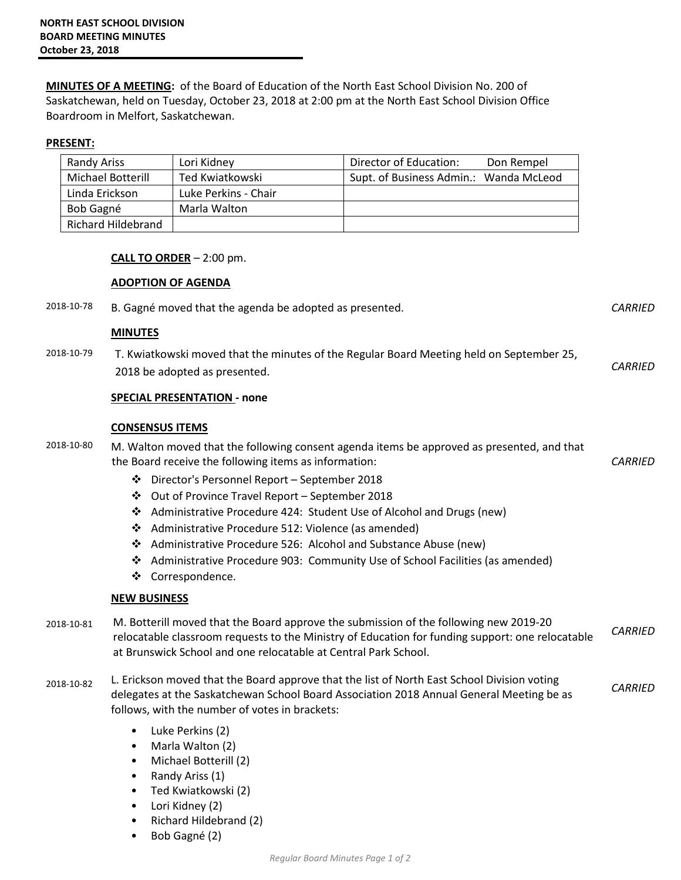**MINUTES OF A MEETING:** of the Board of Education of the North East School Division No. 200 of Saskatchewan, held on Tuesday, October 23, 2018 at 2:00 pm at the North East School Division Office Boardroom in Melfort, Saskatchewan.

## **PRESENT:**

| Randy Ariss               | Lori Kidney          | Director of Education:<br>Don Rempel   |
|---------------------------|----------------------|----------------------------------------|
| Michael Botterill         | Ted Kwiatkowski      | Supt. of Business Admin.: Wanda McLeod |
| Linda Erickson            | Luke Perkins - Chair |                                        |
| Bob Gagné                 | Marla Walton         |                                        |
| <b>Richard Hildebrand</b> |                      |                                        |

## **CALL TO ORDER** – 2:00 pm.

## **ADOPTION OF AGENDA**

2018-10-78 B. Gagné moved that the agenda be adopted as presented. *CARRIED*

## **MINUTES**

2018-10-79 T. Kwiatkowski moved that the minutes of the Regular Board Meeting held on September 25, 2018 be adopted as presented. *CARRIED* 

## **SPECIAL PRESENTATION - none**

## **CONSENSUS ITEMS**

2018-10-80 M. Walton moved that the following consent agenda items be approved as presented, and that the Board receive the following items as information: *CARRIED* 

- Director's Personnel Report September 2018
- Out of Province Travel Report September 2018
- Administrative Procedure 424: Student Use of Alcohol and Drugs (new)
- Administrative Procedure 512: Violence (as amended)
- Administrative Procedure 526: Alcohol and Substance Abuse (new)
- Administrative Procedure 903: Community Use of School Facilities (as amended)
- Correspondence.

# **NEW BUSINESS**

- 2018-10-81 M. Botterill moved that the Board approve the submission of the following new 2019-20 relocatable classroom requests to the Ministry of Education for funding support: one relocatable at Brunswick School and one relocatable at Central Park School. *CARRIED*
- 2018-10-82 L. Erickson moved that the Board approve that the list of North East School Division voting delegates at the Saskatchewan School Board Association 2018 Annual General Meeting be as follows, with the number of votes in brackets: *CARRIED*
	- Luke Perkins (2)
	- Marla Walton (2)
	- Michael Botterill (2)
	- Randy Ariss (1)
	- Ted Kwiatkowski (2)
	- Lori Kidney (2)
	- Richard Hildebrand (2)
	- Bob Gagné (2)